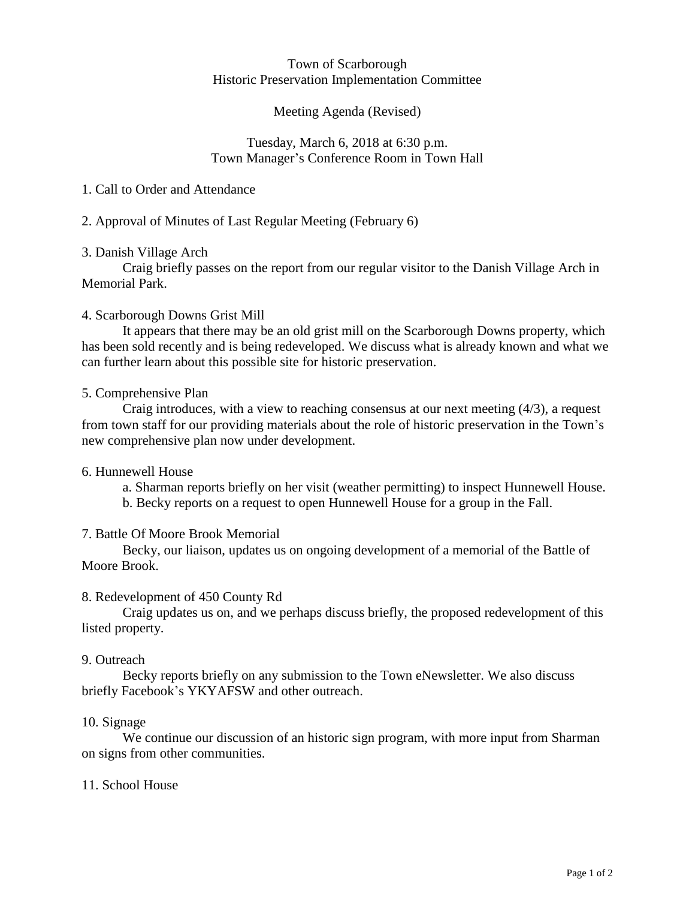#### Town of Scarborough Historic Preservation Implementation Committee

## Meeting Agenda (Revised)

### Tuesday, March 6, 2018 at 6:30 p.m. Town Manager's Conference Room in Town Hall

### 1. Call to Order and Attendance

## 2. Approval of Minutes of Last Regular Meeting (February 6)

## 3. Danish Village Arch

Craig briefly passes on the report from our regular visitor to the Danish Village Arch in Memorial Park.

## 4. Scarborough Downs Grist Mill

It appears that there may be an old grist mill on the Scarborough Downs property, which has been sold recently and is being redeveloped. We discuss what is already known and what we can further learn about this possible site for historic preservation.

## 5. Comprehensive Plan

Craig introduces, with a view to reaching consensus at our next meeting (4/3), a request from town staff for our providing materials about the role of historic preservation in the Town's new comprehensive plan now under development.

#### 6. Hunnewell House

a. Sharman reports briefly on her visit (weather permitting) to inspect Hunnewell House.

b. Becky reports on a request to open Hunnewell House for a group in the Fall.

# 7. Battle Of Moore Brook Memorial

Becky, our liaison, updates us on ongoing development of a memorial of the Battle of Moore Brook.

#### 8. Redevelopment of 450 County Rd

Craig updates us on, and we perhaps discuss briefly, the proposed redevelopment of this listed property.

#### 9. Outreach

Becky reports briefly on any submission to the Town eNewsletter. We also discuss briefly Facebook's YKYAFSW and other outreach.

#### 10. Signage

We continue our discussion of an historic sign program, with more input from Sharman on signs from other communities.

#### 11. School House